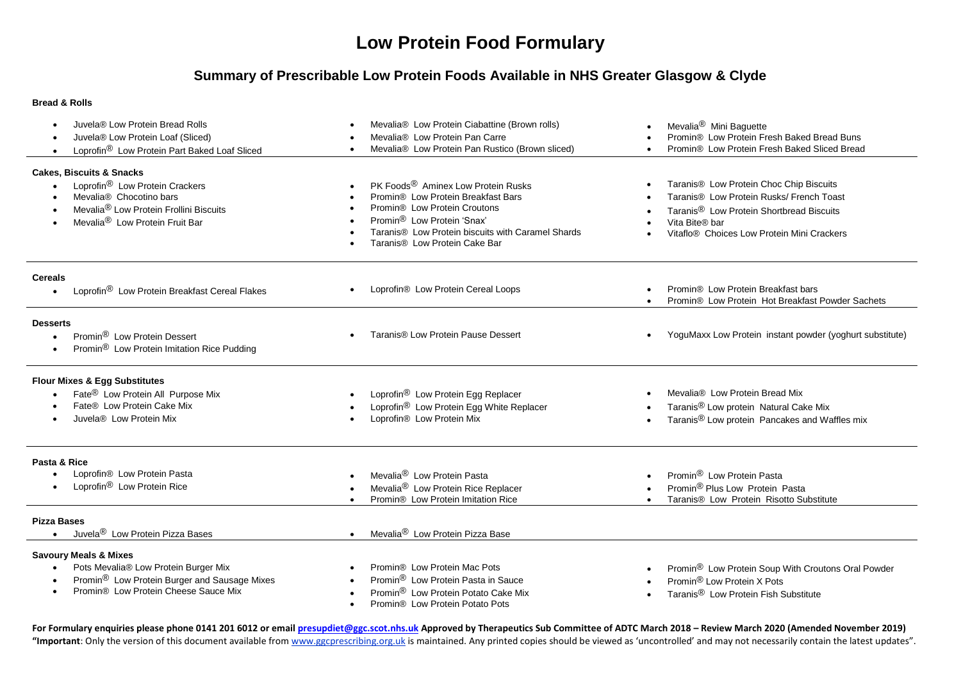# **Low Protein Food Formulary**

### **Summary of Prescribable Low Protein Foods Available in NHS Greater Glasgow & Clyde**

#### **Bread & Rolls**

| Juvela® Low Protein Bread Rolls<br>Juvela® Low Protein Loaf (Sliced)<br>Loprofin <sup>®</sup> Low Protein Part Baked Loaf Sliced                                                                                 | Mevalia® Low Protein Ciabattine (Brown rolls)<br>Mevalia® Low Protein Pan Carre<br>Mevalia® Low Protein Pan Rustico (Brown sliced)                                                                                                                               | Mevalia <sup>®</sup> Mini Baguette<br>Promin® Low Protein Fresh Baked Bread Buns<br>Promin® Low Protein Fresh Baked Sliced Bread                                                                                        |
|------------------------------------------------------------------------------------------------------------------------------------------------------------------------------------------------------------------|------------------------------------------------------------------------------------------------------------------------------------------------------------------------------------------------------------------------------------------------------------------|-------------------------------------------------------------------------------------------------------------------------------------------------------------------------------------------------------------------------|
| <b>Cakes, Biscuits &amp; Snacks</b><br>Loprofin <sup>®</sup> Low Protein Crackers<br>Mevalia® Chocotino bars<br>Mevalia <sup>®</sup> Low Protein Frollini Biscuits<br>Mevalia <sup>®</sup> Low Protein Fruit Bar | PK Foods <sup>®</sup> Aminex Low Protein Rusks<br>Promin® Low Protein Breakfast Bars<br>Promin® Low Protein Croutons<br>Promin <sup>®</sup> Low Protein 'Snax'<br>Taranis® Low Protein biscuits with Caramel Shards<br>Taranis <sup>®</sup> Low Protein Cake Bar | Taranis® Low Protein Choc Chip Biscuits<br>Taranis® Low Protein Rusks/ French Toast<br>Taranis <sup>®</sup> Low Protein Shortbread Biscuits<br>Vita Bite® bar<br>Vitaflo <sup>®</sup> Choices Low Protein Mini Crackers |
| <b>Cereals</b><br>Loprofin <sup>®</sup> Low Protein Breakfast Cereal Flakes                                                                                                                                      | Loprofin® Low Protein Cereal Loops                                                                                                                                                                                                                               | Promin <sup>®</sup> Low Protein Breakfast bars<br>Promin® Low Protein Hot Breakfast Powder Sachets                                                                                                                      |
| <b>Desserts</b><br>Promin <sup>®</sup> Low Protein Dessert<br>Promin <sup>®</sup> Low Protein Imitation Rice Pudding                                                                                             | Taranis® Low Protein Pause Dessert                                                                                                                                                                                                                               | YoguMaxx Low Protein instant powder (yoghurt substitute)                                                                                                                                                                |
| <b>Flour Mixes &amp; Egg Substitutes</b><br>Fate <sup>®</sup> Low Protein All Purpose Mix<br>Fate® Low Protein Cake Mix<br>Juvela <sup>®</sup> Low Protein Mix                                                   | Loprofin <sup>®</sup> Low Protein Egg Replacer<br>Loprofin <sup>®</sup> Low Protein Egg White Replacer<br>Loprofin® Low Protein Mix                                                                                                                              | Mevalia® Low Protein Bread Mix<br>Taranis <sup>®</sup> Low protein Natural Cake Mix<br>Taranis <sup>®</sup> Low protein Pancakes and Waffles mix                                                                        |
| Pasta & Rice<br>Loprofin® Low Protein Pasta<br>Loprofin <sup>®</sup> Low Protein Rice                                                                                                                            | Mevalia <sup>®</sup> Low Protein Pasta<br>Mevalia <sup>®</sup> Low Protein Rice Replacer<br>Promin® Low Protein Imitation Rice                                                                                                                                   | Promin® Low Protein Pasta<br>Promin® Plus Low Protein Pasta<br>Taranis® Low Protein Risotto Substitute                                                                                                                  |
| <b>Pizza Bases</b><br>Juvela <sup>®</sup> Low Protein Pizza Bases                                                                                                                                                | Mevalia <sup>®</sup> Low Protein Pizza Base<br>$\bullet$                                                                                                                                                                                                         |                                                                                                                                                                                                                         |
| <b>Savoury Meals &amp; Mixes</b><br>Pots Mevalia® Low Protein Burger Mix<br>Promin <sup>®</sup> Low Protein Burger and Sausage Mixes<br>Promin® Low Protein Cheese Sauce Mix                                     | Promin® Low Protein Mac Pots<br>Promin <sup>®</sup> Low Protein Pasta in Sauce<br>Promin® Low Protein Potato Cake Mix<br>Promin <sup>®</sup> Low Protein Potato Pots                                                                                             | Promin® Low Protein Soup With Croutons Oral Powder<br>Promin® Low Protein X Pots<br>Taranis <sup>®</sup> Low Protein Fish Substitute                                                                                    |

For Formulary enquiries please phone 0141 201 6012 or email [presupdiet@ggc.scot.nhs.uk](mailto:presupdiet@ggc.scot.nhs.uk) Approved by Therapeutics Sub Committee of ADTC March 2018 - Review March 2020 (Amended November 2019) **"Important**: Only the version of this document available fro[m www.ggcprescribing.org.uk](http://www.ggcprescribing.org.uk/) is maintained. Any printed copies should be viewed as 'uncontrolled' and may not necessarily contain the latest updates".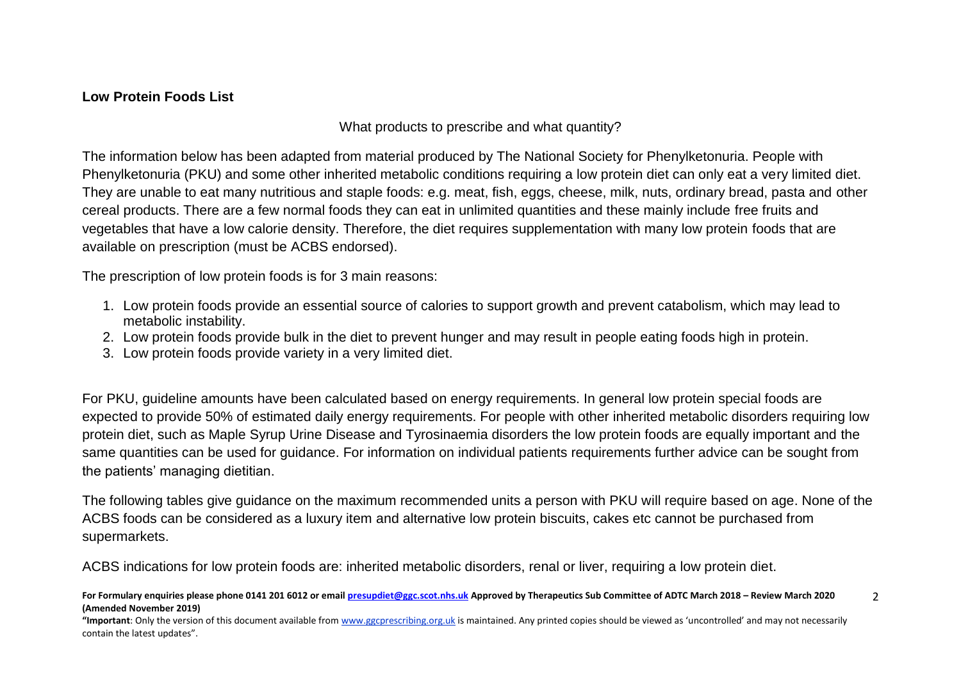### **Low Protein Foods List**

What products to prescribe and what quantity?

The information below has been adapted from material produced by The National Society for Phenylketonuria. People with Phenylketonuria (PKU) and some other inherited metabolic conditions requiring a low protein diet can only eat a very limited diet. They are unable to eat many nutritious and staple foods: e.g. meat, fish, eggs, cheese, milk, nuts, ordinary bread, pasta and other cereal products. There are a few normal foods they can eat in unlimited quantities and these mainly include free fruits and vegetables that have a low calorie density. Therefore, the diet requires supplementation with many low protein foods that are available on prescription (must be ACBS endorsed).

The prescription of low protein foods is for 3 main reasons:

- 1. Low protein foods provide an essential source of calories to support growth and prevent catabolism, which may lead to metabolic instability.
- 2. Low protein foods provide bulk in the diet to prevent hunger and may result in people eating foods high in protein.
- 3. Low protein foods provide variety in a very limited diet.

For PKU, guideline amounts have been calculated based on energy requirements. In general low protein special foods are expected to provide 50% of estimated daily energy requirements. For people with other inherited metabolic disorders requiring low protein diet, such as Maple Syrup Urine Disease and Tyrosinaemia disorders the low protein foods are equally important and the same quantities can be used for guidance. For information on individual patients requirements further advice can be sought from the patients' managing dietitian.

The following tables give guidance on the maximum recommended units a person with PKU will require based on age. None of the ACBS foods can be considered as a luxury item and alternative low protein biscuits, cakes etc cannot be purchased from supermarkets.

ACBS indications for low protein foods are: inherited metabolic disorders, renal or liver, requiring a low protein diet.

**For Formulary enquiries please phone 0141 201 6012 or emai[l presupdiet@ggc.scot.nhs.uk](mailto:presupdiet@ggc.scot.nhs.uk) Approved by Therapeutics Sub Committee of ADTC March 2018 – Review March 2020 (Amended November 2019)**  $\overline{2}$ 

**"Important**: Only the version of this document available from [www.ggcprescribing.org.uk](http://www.ggcprescribing.org.uk/) is maintained. Any printed copies should be viewed as 'uncontrolled' and may not necessarily contain the latest updates".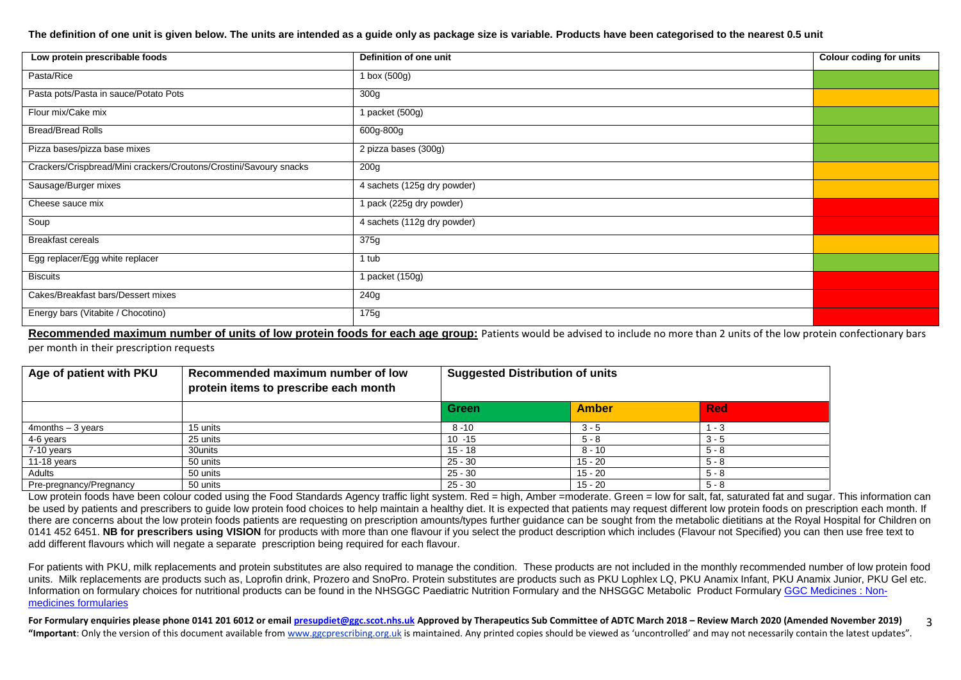#### **The definition of one unit is given below. The units are intended as a guide only as package size is variable. Products have been categorised to the nearest 0.5 unit**

| Low protein prescribable foods                                     | Definition of one unit      | <b>Colour coding for units</b> |
|--------------------------------------------------------------------|-----------------------------|--------------------------------|
| Pasta/Rice                                                         | $1$ box (500g)              |                                |
| Pasta pots/Pasta in sauce/Potato Pots                              | 300g                        |                                |
| Flour mix/Cake mix                                                 | 1 packet (500g)             |                                |
| <b>Bread/Bread Rolls</b>                                           | 600g-800g                   |                                |
| Pizza bases/pizza base mixes                                       | 2 pizza bases (300g)        |                                |
| Crackers/Crispbread/Mini crackers/Croutons/Crostini/Savoury snacks | 200g                        |                                |
| Sausage/Burger mixes                                               | 4 sachets (125g dry powder) |                                |
| Cheese sauce mix                                                   | 1 pack (225g dry powder)    |                                |
| Soup                                                               | 4 sachets (112g dry powder) |                                |
| <b>Breakfast cereals</b>                                           | 375g                        |                                |
| Egg replacer/Egg white replacer                                    | 1 tub                       |                                |
| <b>Biscuits</b>                                                    | 1 packet (150g)             |                                |
| Cakes/Breakfast bars/Dessert mixes                                 | 240g                        |                                |
| Energy bars (Vitabite / Chocotino)                                 | 175g                        |                                |

Recommended maximum number of units of low protein foods for each age group: Patients would be advised to include no more than 2 units of the low protein confectionary bars per month in their prescription requests

| Age of patient with PKU | Recommended maximum number of low<br>protein items to prescribe each month | <b>Suggested Distribution of units</b> |              |            |
|-------------------------|----------------------------------------------------------------------------|----------------------------------------|--------------|------------|
|                         |                                                                            | <b>Green</b>                           | <b>Amber</b> | <b>Red</b> |
| $4$ months $-3$ years   | 15 units                                                                   | $8 - 10$                               | $3 - 5$      | $1 - 3$    |
| 4-6 years               | 25 units                                                                   | $10 - 15$                              | $5 - 8$      | $3 - 5$    |
| 7-10 years              | 30units                                                                    | $15 - 18$                              | 8 - 10       | $5 - 8$    |
| 11-18 years             | 50 units                                                                   | $25 - 30$                              | $15 - 20$    | $5 - 8$    |
| Adults                  | 50 units                                                                   | $25 - 30$                              | $15 - 20$    | $5 - 8$    |
| Pre-pregnancy/Pregnancy | 50 units                                                                   | $25 - 30$                              | $15 - 20$    | 5 - 8      |

Low protein foods have been colour coded using the Food Standards Agency traffic light system. Red = high, Amber =moderate. Green = low for salt, fat, saturated fat and sugar. This information can be used by patients and prescribers to quide low protein food choices to help maintain a healthy diet. It is expected that patients may request different low protein foods on prescription each month. If there are concerns about the low protein foods patients are requesting on prescription amounts/types further guidance can be sought from the metabolic dietitians at the Royal Hospital for Children on 0141 452 6451. **NB for prescribers using VISION** for products with more than one flavour if you select the product description which includes (Flavour not Specified) you can then use free text to add different flavours which will negate a separate prescription being required for each flavour.

For patients with PKU, milk replacements and protein substitutes are also required to manage the condition. These products are not included in the monthly recommended number of low protein food units. Milk replacements are products such as, Loprofin drink, Prozero and SnoPro. Protein substitutes are products such as PKU Lophlex LQ, PKU Anamix Infant, PKU Anamix Junior, PKU Gel etc. Information on formulary choices for nutritional products can be found in the NHSGGC Paediatric Nutrition Formulary and the NHSGGC Metabolic Product Formulary [GGC Medicines : Non](http://www.ggcprescribing.org.uk/non-medicines-formularies/)[medicines formularies](http://www.ggcprescribing.org.uk/non-medicines-formularies/)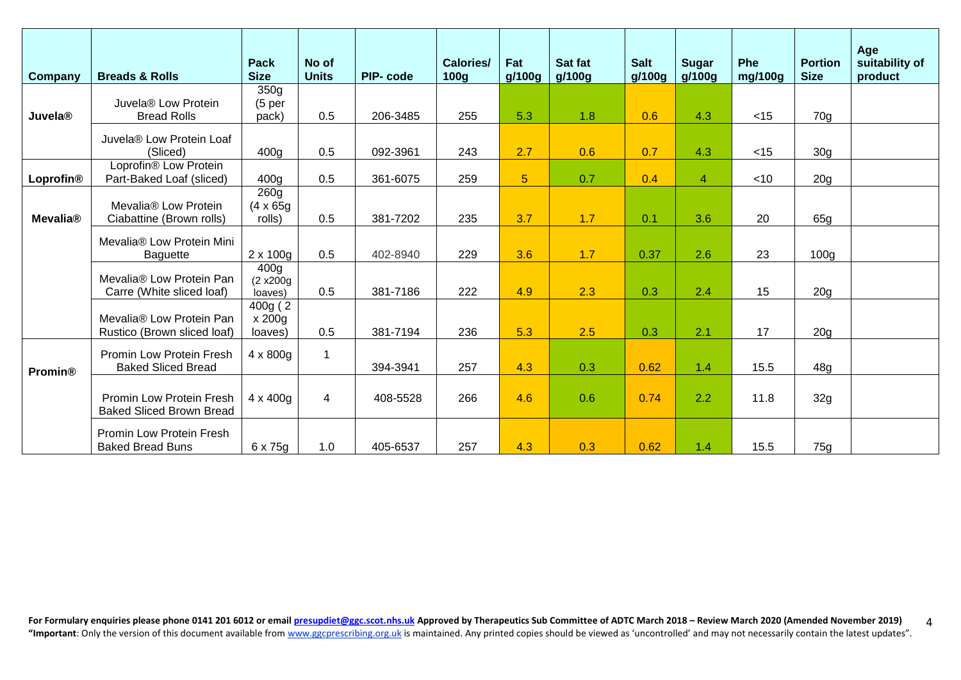| Company         | <b>Breads &amp; Rolls</b>                                    | Pack<br><b>Size</b>                      | No of<br><b>Units</b> | <b>PIP-code</b> | Calories/<br>100 <sub>g</sub> | Fat<br>g/100g  | Sat fat<br>g/100g | <b>Salt</b><br>g/100g | <b>Sugar</b><br>g/100g | <b>Phe</b><br>mg/100g | <b>Portion</b><br><b>Size</b> | Age<br>suitability of<br>product |
|-----------------|--------------------------------------------------------------|------------------------------------------|-----------------------|-----------------|-------------------------------|----------------|-------------------|-----------------------|------------------------|-----------------------|-------------------------------|----------------------------------|
|                 | Juvela® Low Protein                                          | 350 <sub>g</sub>                         |                       |                 |                               |                |                   |                       |                        |                       |                               |                                  |
| Juvela®         | <b>Bread Rolls</b>                                           | (5 <sub>per</sub> )<br>pack)             | 0.5                   | 206-3485        | 255                           | 5.3            | 1.8               | 0.6                   | 4.3                    | $<$ 15                | 70g                           |                                  |
|                 | Juvela® Low Protein Loaf<br>(Sliced)                         | 400 <sub>q</sub>                         | 0.5                   | 092-3961        | 243                           | 2.7            | 0.6               | 0.7                   | 4.3                    | $<$ 15                | 30 <sub>g</sub>               |                                  |
|                 | Loprofin® Low Protein                                        |                                          |                       |                 |                               |                |                   |                       |                        |                       |                               |                                  |
| Loprofin®       | Part-Baked Loaf (sliced)                                     | 400 <sub>g</sub>                         | 0.5                   | 361-6075        | 259                           | 5 <sup>5</sup> | 0.7               | 0.4                   | $\overline{4}$         | $<$ 10                | 20 <sub>g</sub>               |                                  |
| <b>Mevalia®</b> | Mevalia <sup>®</sup> Low Protein<br>Ciabattine (Brown rolls) | 260g<br>$(4 \times 65g)$<br>rolls)       | 0.5                   | 381-7202        | 235                           | 3.7            | 1.7               | 0.1                   | 3.6                    | 20                    | 65g                           |                                  |
|                 | Mevalia® Low Protein Mini<br><b>Baguette</b>                 | $2 \times 100g$                          | 0.5                   | 402-8940        | 229                           | 3.6            | 1.7               | 0.37                  | 2.6                    | 23                    | 100 <sub>g</sub>              |                                  |
|                 | Mevalia® Low Protein Pan<br>Carre (White sliced loaf)        | 400 <sub>g</sub><br>(2 x200g)<br>loaves) | 0.5                   | 381-7186        | 222                           | 4.9            | 2.3               | 0.3                   | 2.4                    | 15                    | 20 <sub>g</sub>               |                                  |
|                 | Mevalia® Low Protein Pan<br>Rustico (Brown sliced loaf)      | 400g (2<br>x 200g<br>loaves)             | 0.5                   | 381-7194        | 236                           | 5.3            | 2.5               | 0.3                   | 2.1                    | 17                    | 20 <sub>g</sub>               |                                  |
| <b>Promin®</b>  | Promin Low Protein Fresh<br><b>Baked Sliced Bread</b>        | $4 \times 800$ g                         | 1                     | 394-3941        | 257                           | 4.3            | 0.3               | 0.62                  | 1.4                    | 15.5                  | 48g                           |                                  |
|                 | Promin Low Protein Fresh<br><b>Baked Sliced Brown Bread</b>  | $4 \times 400$ g                         | $\overline{4}$        | 408-5528        | 266                           | 4.6            | 0.6               | 0.74                  | 2.2                    | 11.8                  | 32g                           |                                  |
|                 | <b>Promin Low Protein Fresh</b><br><b>Baked Bread Buns</b>   | 6 x 75g                                  | 1.0                   | 405-6537        | 257                           | 4.3            | 0.3               | 0.62                  | 1.4                    | 15.5                  | 75g                           |                                  |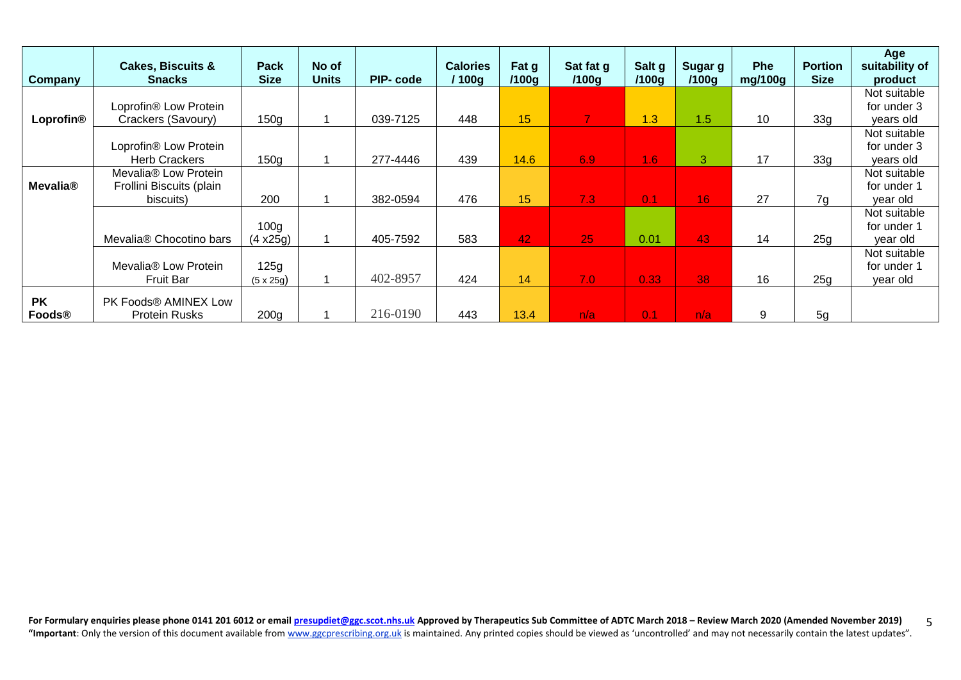| <b>Company</b>              | <b>Cakes, Biscuits &amp;</b><br><b>Snacks</b> | <b>Pack</b><br><b>Size</b> | No of<br><b>Units</b> | PIP-code | <b>Calories</b><br>100g | Fat g<br>/100g | Sat fat g<br>/100g | Salt g<br>/100g | Sugar g<br>/100 <sub>q</sub> | <b>Phe</b><br>mg/100g | <b>Portion</b><br><b>Size</b> | Age<br>suitability of<br>product |
|-----------------------------|-----------------------------------------------|----------------------------|-----------------------|----------|-------------------------|----------------|--------------------|-----------------|------------------------------|-----------------------|-------------------------------|----------------------------------|
|                             |                                               |                            |                       |          |                         |                |                    |                 |                              |                       |                               | Not suitable                     |
|                             | Loprofin® Low Protein                         |                            |                       |          |                         |                |                    |                 |                              |                       |                               | for under 3                      |
| Loprofin®                   | Crackers (Savoury)                            | 150 <sub>g</sub>           |                       | 039-7125 | 448                     | 15             | 7                  | 1.3             | 1.5                          | 10                    | 33g                           | years old                        |
|                             |                                               |                            |                       |          |                         |                |                    |                 |                              |                       |                               | Not suitable                     |
|                             | Loprofin® Low Protein                         |                            |                       |          |                         |                |                    |                 |                              |                       |                               | for under 3                      |
|                             | <b>Herb Crackers</b>                          | 150g                       |                       | 277-4446 | 439                     | 14.6           | 6.9                | $\P(6)$         | 3                            | 17                    | 33 <sub>g</sub>               | years old                        |
|                             | Mevalia <sup>®</sup> Low Protein              |                            |                       |          |                         |                |                    |                 |                              |                       |                               | Not suitable                     |
| <b>Mevalia</b> <sup>®</sup> | Frollini Biscuits (plain                      |                            |                       |          |                         |                |                    |                 |                              |                       |                               | for under 1                      |
|                             | biscuits)                                     | 200                        |                       | 382-0594 | 476                     | 15             | 7.3                | 0.1             | 16                           | 27                    | 7g                            | vear old                         |
|                             |                                               |                            |                       |          |                         |                |                    |                 |                              |                       |                               | Not suitable                     |
|                             |                                               | 100 <sub>g</sub>           |                       |          |                         |                |                    |                 |                              |                       |                               | for under 1                      |
|                             | Mevalia® Chocotino bars                       | $(4 \times 25g)$           |                       | 405-7592 | 583                     | 42             | 25                 | 0.01            | 43                           | 14                    | 25g                           | year old                         |
|                             |                                               |                            |                       |          |                         |                |                    |                 |                              |                       |                               | Not suitable                     |
|                             | Mevalia <sup>®</sup> Low Protein              | 125g                       |                       |          |                         |                |                    |                 |                              |                       |                               | for under 1                      |
|                             | <b>Fruit Bar</b>                              | $(5 \times 25)$            |                       | 402-8957 | 424                     | 14             | 7.0                | 0.33            | 38                           | 16                    | 25g                           | year old                         |
| <b>PK</b>                   | PK Foods® AMINEX Low                          |                            |                       |          |                         |                |                    |                 |                              |                       |                               |                                  |
| Foods®                      | <b>Protein Rusks</b>                          | 200 <sub>g</sub>           |                       | 216-0190 | 443                     | 13.4           | n/a                | 0.1             | n/a                          | 9                     | 5g                            |                                  |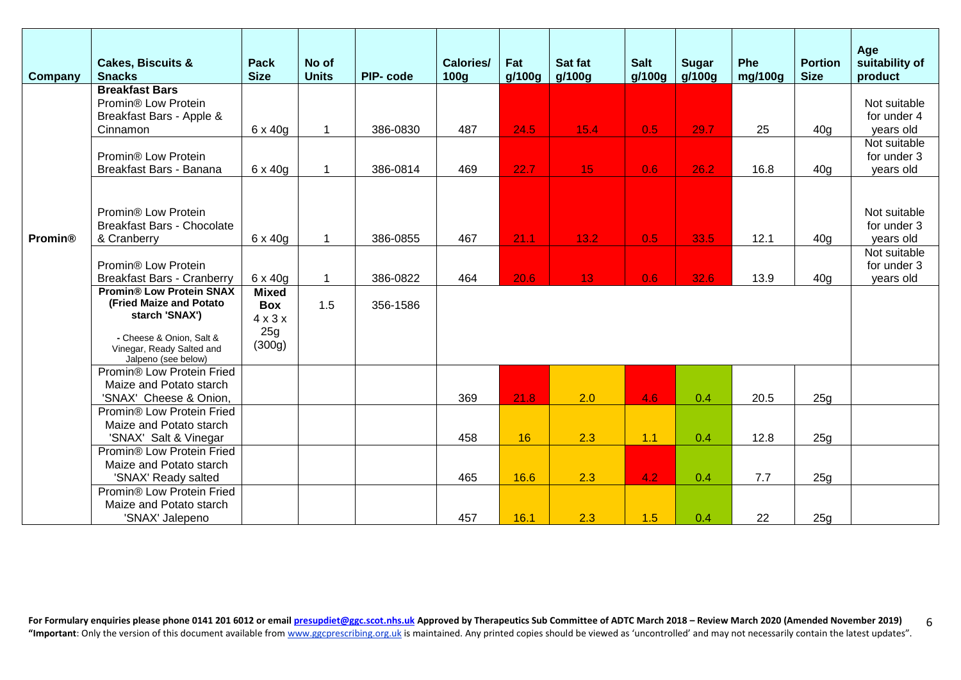| Company        | <b>Cakes, Biscuits &amp;</b><br><b>Snacks</b>                    | <b>Pack</b><br><b>Size</b> | No of<br><b>Units</b> | PIP-code | Calories/<br>100 <sub>g</sub> | Fat<br>q/100q | Sat fat<br>g/100g | <b>Salt</b><br>q/100q | <b>Sugar</b><br>g/100g | Phe<br>mg/100g | <b>Portion</b><br><b>Size</b> | Age<br>suitability of<br>product |
|----------------|------------------------------------------------------------------|----------------------------|-----------------------|----------|-------------------------------|---------------|-------------------|-----------------------|------------------------|----------------|-------------------------------|----------------------------------|
|                | <b>Breakfast Bars</b>                                            |                            |                       |          |                               |               |                   |                       |                        |                |                               |                                  |
|                | Promin <sup>®</sup> Low Protein<br>Breakfast Bars - Apple &      |                            |                       |          |                               |               |                   |                       |                        |                |                               | Not suitable<br>for under 4      |
|                | Cinnamon                                                         | $6 \times 40g$             | 1                     | 386-0830 | 487                           | 24.5          | 15.4              | 0.5                   | 29.7                   | 25             | 40 <sub>g</sub>               | years old                        |
|                |                                                                  |                            |                       |          |                               |               |                   |                       |                        |                |                               | Not suitable                     |
|                | Promin <sup>®</sup> Low Protein                                  |                            |                       |          |                               |               |                   |                       |                        |                |                               | for under 3                      |
|                | Breakfast Bars - Banana                                          | $6 \times 40g$             | 1                     | 386-0814 | 469                           | 22.7          | 15 <sub>1</sub>   | 0.6                   | 26.2                   | 16.8           | 40q                           | years old                        |
|                |                                                                  |                            |                       |          |                               |               |                   |                       |                        |                |                               |                                  |
|                |                                                                  |                            |                       |          |                               |               |                   |                       |                        |                |                               |                                  |
|                | Promin® Low Protein                                              |                            |                       |          |                               |               |                   |                       |                        |                |                               | Not suitable                     |
|                | <b>Breakfast Bars - Chocolate</b>                                |                            |                       |          |                               |               |                   |                       |                        |                |                               | for under 3                      |
| <b>Promin®</b> | & Cranberry                                                      | 6 x 40g                    | $\mathbf{1}$          | 386-0855 | 467                           | 21.1          | 13.2              | 0.5                   | 33.5                   | 12.1           | 40 <sub>g</sub>               | years old                        |
|                |                                                                  |                            |                       |          |                               |               |                   |                       |                        |                |                               | Not suitable                     |
|                | Promin® Low Protein<br><b>Breakfast Bars - Cranberry</b>         | $6 \times 40g$             | $\mathbf{1}$          | 386-0822 | 464                           | 20.6          | 13                | 0.6                   | 32.6                   | 13.9           | 40 <sub>g</sub>               | for under 3<br>years old         |
|                | <b>Promin® Low Protein SNAX</b>                                  | <b>Mixed</b>               |                       |          |                               |               |                   |                       |                        |                |                               |                                  |
|                | (Fried Maize and Potato                                          | <b>Box</b>                 | 1.5                   | 356-1586 |                               |               |                   |                       |                        |                |                               |                                  |
|                | starch 'SNAX')                                                   | $4 \times 3 \times$        |                       |          |                               |               |                   |                       |                        |                |                               |                                  |
|                |                                                                  | 25g                        |                       |          |                               |               |                   |                       |                        |                |                               |                                  |
|                | - Cheese & Onion, Salt &<br>Vinegar, Ready Salted and            | (300g)                     |                       |          |                               |               |                   |                       |                        |                |                               |                                  |
|                | Jalpeno (see below)                                              |                            |                       |          |                               |               |                   |                       |                        |                |                               |                                  |
|                | Promin® Low Protein Fried                                        |                            |                       |          |                               |               |                   |                       |                        |                |                               |                                  |
|                | Maize and Potato starch                                          |                            |                       |          |                               |               |                   |                       |                        |                |                               |                                  |
|                | 'SNAX' Cheese & Onion,                                           |                            |                       |          | 369                           | 21.8          | 2.0               | 4.6                   | 0.4                    | 20.5           | 25g                           |                                  |
|                | Promin® Low Protein Fried                                        |                            |                       |          |                               |               |                   |                       |                        |                |                               |                                  |
|                | Maize and Potato starch                                          |                            |                       |          |                               |               |                   |                       |                        |                |                               |                                  |
|                | 'SNAX' Salt & Vinegar                                            |                            |                       |          | 458                           | 16            | 2.3               | 1.1                   | 0.4                    | 12.8           | 25g                           |                                  |
|                | Promin <sup>®</sup> Low Protein Fried<br>Maize and Potato starch |                            |                       |          |                               |               |                   |                       |                        |                |                               |                                  |
|                | 'SNAX' Ready salted                                              |                            |                       |          | 465                           | 16.6          | 2.3               | 4.2                   | 0.4                    | 7.7            | 25g                           |                                  |
|                | Promin <sup>®</sup> Low Protein Fried                            |                            |                       |          |                               |               |                   |                       |                        |                |                               |                                  |
|                | Maize and Potato starch                                          |                            |                       |          |                               |               |                   |                       |                        |                |                               |                                  |
|                | 'SNAX' Jalepeno                                                  |                            |                       |          | 457                           | 16.1          | 2.3               | 1.5                   | 0.4                    | 22             | 25g                           |                                  |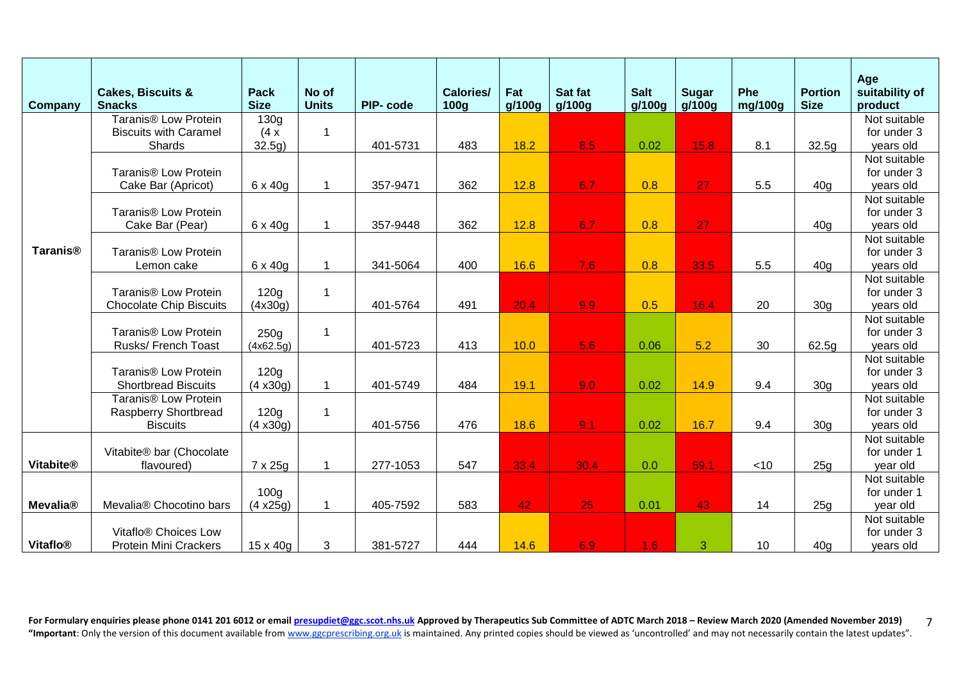| Company          | <b>Cakes, Biscuits &amp;</b><br><b>Snacks</b>                  | <b>Pack</b><br><b>Size</b> | No of<br><b>Units</b> | PIP-code | <b>Calories/</b><br>100 <sub>g</sub> | Fat<br>g/100g | Sat fat<br>g/100g | <b>Salt</b><br>g/100g | <b>Sugar</b><br>g/100g | Phe<br>mg/100g | <b>Portion</b><br><b>Size</b> | Age<br>suitability of<br>product |
|------------------|----------------------------------------------------------------|----------------------------|-----------------------|----------|--------------------------------------|---------------|-------------------|-----------------------|------------------------|----------------|-------------------------------|----------------------------------|
|                  | Taranis <sup>®</sup> Low Protein                               | 130g                       |                       |          |                                      |               |                   |                       |                        |                |                               | Not suitable                     |
|                  | <b>Biscuits with Caramel</b>                                   | (4x)                       | 1                     |          |                                      |               |                   |                       |                        |                |                               | for under 3                      |
|                  | <b>Shards</b>                                                  | 32.5g)                     |                       | 401-5731 | 483                                  | 18.2          | 8.5               | 0.02                  | 15.8                   | 8.1            | 32.5g                         | years old                        |
|                  |                                                                |                            |                       |          |                                      |               |                   |                       |                        |                |                               | Not suitable                     |
|                  | Taranis <sup>®</sup> Low Protein                               |                            |                       |          |                                      |               |                   |                       |                        |                |                               | for under 3                      |
|                  | Cake Bar (Apricot)                                             | 6 x 40g                    | 1                     | 357-9471 | 362                                  | 12.8          | 6.7               | 0.8                   | 27                     | 5.5            | 40q                           | years old                        |
|                  |                                                                |                            |                       |          |                                      |               |                   |                       |                        |                |                               | Not suitable                     |
|                  | Taranis <sup>®</sup> Low Protein                               |                            |                       |          |                                      |               |                   |                       |                        |                |                               | for under 3                      |
|                  | Cake Bar (Pear)                                                | $6 \times 40g$             | 1                     | 357-9448 | 362                                  | 12.8          | 6.7               | 0.8                   | 27                     |                | 40 <sub>g</sub>               | years old                        |
|                  |                                                                |                            |                       |          |                                      |               |                   |                       |                        |                |                               | Not suitable                     |
| <b>Taranis®</b>  | Taranis <sup>®</sup> Low Protein                               |                            |                       |          |                                      |               |                   |                       |                        |                |                               | for under 3                      |
|                  | Lemon cake                                                     | $6 \times 40g$             | 1                     | 341-5064 | 400                                  | 16.6          | 7.6               | 0.8                   | 33.5                   | 5.5            | 40 <sub>g</sub>               | years old                        |
|                  |                                                                |                            |                       |          |                                      |               |                   |                       |                        |                |                               | Not suitable                     |
|                  | Taranis <sup>®</sup> Low Protein                               | 120g                       | 1                     |          |                                      |               |                   |                       |                        |                |                               | for under 3                      |
|                  | <b>Chocolate Chip Biscuits</b>                                 | (4x30g)                    |                       | 401-5764 | 491                                  | 20.4          | 9.9               | 0.5                   | 16.4                   | 20             | 30 <sub>g</sub>               | years old                        |
|                  |                                                                |                            |                       |          |                                      |               |                   |                       |                        |                |                               | Not suitable                     |
|                  | Taranis <sup>®</sup> Low Protein                               | 250g                       | $\mathbf 1$           |          |                                      |               |                   |                       |                        |                |                               | for under 3                      |
|                  | Rusks/ French Toast                                            | (4x62.5g)                  |                       | 401-5723 | 413                                  | 10.0          | 5.6               | 0.06                  | 5.2                    | 30             | 62.5g                         | years old                        |
|                  |                                                                |                            |                       |          |                                      |               |                   |                       |                        |                |                               | Not suitable                     |
|                  | Taranis <sup>®</sup> Low Protein                               | 120 <sub>g</sub>           |                       |          |                                      |               |                   |                       |                        |                |                               | for under 3                      |
|                  | <b>Shortbread Biscuits</b><br>Taranis <sup>®</sup> Low Protein | (4 x30g)                   | $\mathbf 1$           | 401-5749 | 484                                  | 19.1          | 9.0               | 0.02                  | 14.9                   | 9.4            | 30 <sub>q</sub>               | years old<br>Not suitable        |
|                  | <b>Raspberry Shortbread</b>                                    | 120g                       | $\mathbf{1}$          |          |                                      |               |                   |                       |                        |                |                               | for under 3                      |
|                  | <b>Biscuits</b>                                                | (4 x30g)                   |                       | 401-5756 | 476                                  | 18.6          | 9.1               | 0.02                  | 16.7                   | 9.4            | 30 <sub>g</sub>               | years old                        |
|                  |                                                                |                            |                       |          |                                      |               |                   |                       |                        |                |                               | Not suitable                     |
|                  | Vitabite® bar (Chocolate                                       |                            |                       |          |                                      |               |                   |                       |                        |                |                               | for under 1                      |
| <b>Vitabite®</b> | flavoured)                                                     | 7 x 25g                    | 1                     | 277-1053 | 547                                  | 33.4          | 30.4              | 0.0                   | 59.1                   | $<$ 10         | 25g                           | year old                         |
|                  |                                                                |                            |                       |          |                                      |               |                   |                       |                        |                |                               | Not suitable                     |
|                  |                                                                | 100 <sub>g</sub>           |                       |          |                                      |               |                   |                       |                        |                |                               | for under 1                      |
| <b>Mevalia®</b>  | Mevalia® Chocotino bars                                        | (4 x25g)                   | $\mathbf{1}$          | 405-7592 | 583                                  | 42            | 25                | 0.01                  | 43                     | 14             | 25 <sub>q</sub>               | year old                         |
|                  |                                                                |                            |                       |          |                                      |               |                   |                       |                        |                |                               | Not suitable                     |
|                  | Vitaflo® Choices Low                                           |                            |                       |          |                                      |               |                   |                       |                        |                |                               | for under 3                      |
| <b>Vitaflo®</b>  | <b>Protein Mini Crackers</b>                                   | $15 \times 40g$            | 3                     | 381-5727 | 444                                  | 14.6          | 6.9               | 1.6                   | 3                      | 10             | 40 <sub>g</sub>               | years old                        |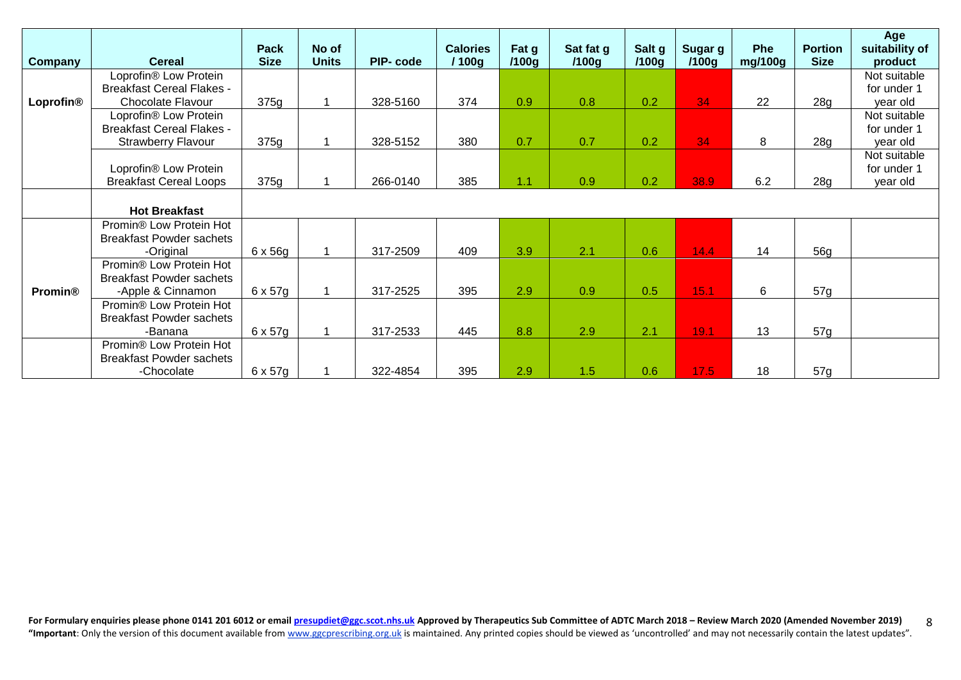| <b>Company</b> | <b>Cereal</b>                                                 | Pack<br><b>Size</b> | No of<br><b>Units</b> | PIP-code | <b>Calories</b><br>/ 100g | Fat g<br>/100g | Sat fat g<br>/100g | Salt g<br>/100g | Sugar g<br>/100g | <b>Phe</b><br>mg/100g | <b>Portion</b><br><b>Size</b> | Age<br>suitability of<br>product |
|----------------|---------------------------------------------------------------|---------------------|-----------------------|----------|---------------------------|----------------|--------------------|-----------------|------------------|-----------------------|-------------------------------|----------------------------------|
|                | Loprofin® Low Protein                                         |                     |                       |          |                           |                |                    |                 |                  |                       |                               | Not suitable                     |
| Loprofin®      | <b>Breakfast Cereal Flakes -</b><br><b>Chocolate Flavour</b>  | 375g                |                       | 328-5160 | 374                       | 0.9            | 0.8                | 0.2             | 34               | 22                    | 28g                           | for under 1<br>year old          |
|                | Loprofin® Low Protein                                         |                     |                       |          |                           |                |                    |                 |                  |                       |                               | Not suitable                     |
|                | <b>Breakfast Cereal Flakes -</b><br><b>Strawberry Flavour</b> | 375g                |                       | 328-5152 | 380                       | 0.7            | 0.7                | 0.2             | 34               | 8                     | 28g                           | for under 1<br>year old          |
|                |                                                               |                     |                       |          |                           |                |                    |                 |                  |                       |                               | Not suitable                     |
|                | Loprofin® Low Protein                                         |                     |                       |          |                           |                |                    |                 |                  |                       |                               | for under 1                      |
|                | <b>Breakfast Cereal Loops</b>                                 | 375g                |                       | 266-0140 | 385                       | 1.1            | 0.9                | 0.2             | 38.9             | 6.2                   | 28g                           | year old                         |
|                |                                                               |                     |                       |          |                           |                |                    |                 |                  |                       |                               |                                  |
|                | <b>Hot Breakfast</b>                                          |                     |                       |          |                           |                |                    |                 |                  |                       |                               |                                  |
|                | Promin <sup>®</sup> Low Protein Hot                           |                     |                       |          |                           |                |                    |                 |                  |                       |                               |                                  |
|                | <b>Breakfast Powder sachets</b>                               |                     |                       |          |                           | 3.9            |                    |                 |                  |                       |                               |                                  |
|                | -Original<br>Promin® Low Protein Hot                          | $6 \times 56g$      |                       | 317-2509 | 409                       |                | 2.1                | 0.6             | 14.4             | 14                    | 56g                           |                                  |
|                | <b>Breakfast Powder sachets</b>                               |                     |                       |          |                           |                |                    |                 |                  |                       |                               |                                  |
| <b>Promin®</b> | -Apple & Cinnamon                                             | $6 \times 57g$      |                       | 317-2525 | 395                       | 2.9            | 0.9                | 0.5             | 15.1             | 6                     | 57g                           |                                  |
|                | Promin <sup>®</sup> Low Protein Hot                           |                     |                       |          |                           |                |                    |                 |                  |                       |                               |                                  |
|                | <b>Breakfast Powder sachets</b>                               |                     |                       |          |                           |                |                    |                 |                  |                       |                               |                                  |
|                | -Banana                                                       | 6 x 57g             |                       | 317-2533 | 445                       | 8.8            | 2.9                | 2.1             | 19.1             | 13                    | 57g                           |                                  |
|                | Promin <sup>®</sup> Low Protein Hot                           |                     |                       |          |                           |                |                    |                 |                  |                       |                               |                                  |
|                | <b>Breakfast Powder sachets</b>                               |                     |                       |          |                           |                |                    |                 |                  |                       |                               |                                  |
|                | -Chocolate                                                    | 6 x 57g             |                       | 322-4854 | 395                       | 2.9            | 1.5                | 0.6             | 17.5             | 18                    | 57g                           |                                  |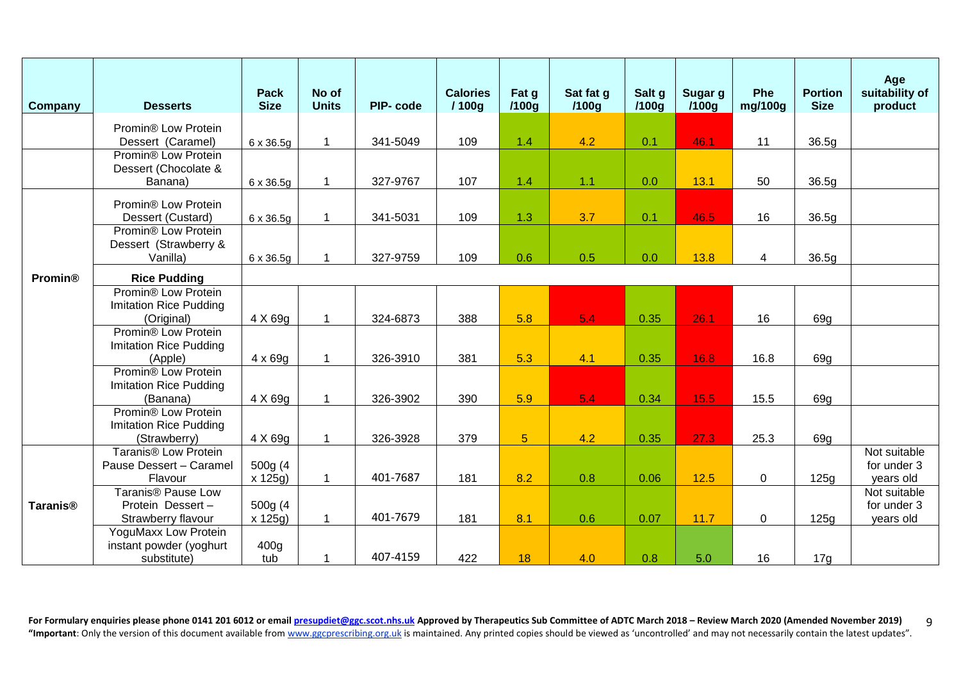| Company                    | <b>Desserts</b>                                                                  | <b>Pack</b><br><b>Size</b> | No of<br><b>Units</b> | PIP-code | <b>Calories</b><br>1100 <sub>g</sub> | Fat g<br>/100g | Sat fat g<br>/100g | Salt g<br>/100q | Sugar g<br>/100q | <b>Phe</b><br>mg/100g | <b>Portion</b><br><b>Size</b> | Age<br>suitability of<br>product         |
|----------------------------|----------------------------------------------------------------------------------|----------------------------|-----------------------|----------|--------------------------------------|----------------|--------------------|-----------------|------------------|-----------------------|-------------------------------|------------------------------------------|
|                            | Promin® Low Protein<br>Dessert (Caramel)                                         | $6 \times 36.5g$           | $\mathbf 1$           | 341-5049 | 109                                  | 1.4            | 4.2                | 0.1             | 46.1             | 11                    | 36.5g                         |                                          |
|                            | Promin <sup>®</sup> Low Protein<br>Dessert (Chocolate &<br>Banana)               | 6 x 36.5g                  | $\mathbf 1$           | 327-9767 | 107                                  | 1.4            | 1.1                | 0.0             | 13.1             | 50                    | 36.5g                         |                                          |
|                            | Promin® Low Protein<br>Dessert (Custard)                                         | $6 \times 36.5g$           | $\mathbf{1}$          | 341-5031 | 109                                  | 1.3            | 3.7                | 0.1             | 46.5             | 16                    | 36.5g                         |                                          |
|                            | Promin® Low Protein<br>Dessert (Strawberry &<br>Vanilla)                         | 6 x 36.5g                  | 1                     | 327-9759 | 109                                  | 0.6            | 0.5                | 0.0             | 13.8             | 4                     | 36.5g                         |                                          |
| <b>Promin®</b>             | <b>Rice Pudding</b>                                                              |                            |                       |          |                                      |                |                    |                 |                  |                       |                               |                                          |
|                            | Promin® Low Protein<br><b>Imitation Rice Pudding</b><br>(Original)               | 4 X 69g                    | $\mathbf{1}$          | 324-6873 | 388                                  | 5.8            | 5.4                | 0.35            | 26.1             | 16                    | 69g                           |                                          |
|                            | Promin <sup>®</sup> Low Protein<br><b>Imitation Rice Pudding</b><br>(Apple)      | $4 \times 69g$             | $\mathbf 1$           | 326-3910 | 381                                  | 5.3            | 4.1                | 0.35            | 16.8             | 16.8                  | 69g                           |                                          |
|                            | Promin® Low Protein<br><b>Imitation Rice Pudding</b><br>(Banana)                 | 4 X 69g                    | $\mathbf 1$           | 326-3902 | 390                                  | 5.9            | 5.4                | 0.34            | 15.5             | 15.5                  | 69g                           |                                          |
|                            | Promin <sup>®</sup> Low Protein<br><b>Imitation Rice Pudding</b><br>(Strawberry) | 4 X 69g                    | $\mathbf{1}$          | 326-3928 | 379                                  | $\overline{5}$ | 4.2                | 0.35            | 27.3             | 25.3                  | 69g                           |                                          |
|                            | Taranis <sup>®</sup> Low Protein<br>Pause Dessert - Caramel<br>Flavour           | 500g (4<br>$x$ 125g)       | $\mathbf 1$           | 401-7687 | 181                                  | 8.2            | 0.8                | 0.06            | 12.5             | $\mathbf 0$           | 125g                          | Not suitable<br>for under 3<br>years old |
| <b>Taranis<sup>®</sup></b> | <b>Taranis® Pause Low</b><br>Protein Dessert-<br>Strawberry flavour              | 500g (4<br>x 125g)         | 1                     | 401-7679 | 181                                  | 8.1            | 0.6                | 0.07            | 11.7             | $\mathbf 0$           | 125g                          | Not suitable<br>for under 3<br>years old |
|                            | YoguMaxx Low Protein<br>instant powder (yoghurt<br>substitute)                   | 400g<br>tub                | 1                     | 407-4159 | 422                                  | 18             | 4.0                | 0.8             | 5.0              | 16                    | 17g                           |                                          |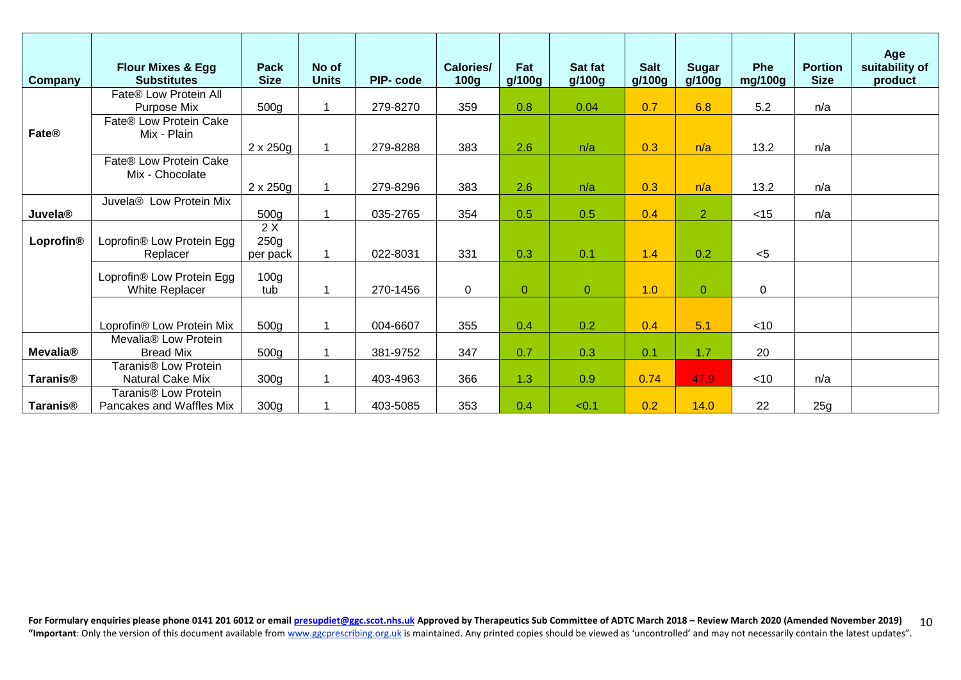| <b>Company</b>            | <b>Flour Mixes &amp; Egg</b><br><b>Substitutes</b> | <b>Pack</b><br><b>Size</b> | No of<br><b>Units</b> | PIP-code | <b>Calories/</b><br>100 <sub>g</sub> | Fat<br>g/100g  | Sat fat<br>g/100g | <b>Salt</b><br>g/100g | <b>Sugar</b><br>g/100g | <b>Phe</b><br>mg/100g | <b>Portion</b><br><b>Size</b> | Age<br>suitability of<br>product |
|---------------------------|----------------------------------------------------|----------------------------|-----------------------|----------|--------------------------------------|----------------|-------------------|-----------------------|------------------------|-----------------------|-------------------------------|----------------------------------|
|                           | Fate® Low Protein All                              |                            |                       |          |                                      |                |                   |                       |                        |                       |                               |                                  |
|                           | Purpose Mix                                        | 500 <sub>g</sub>           | 1                     | 279-8270 | 359                                  | 0.8            | 0.04              | 0.7                   | 6.8                    | 5.2                   | n/a                           |                                  |
|                           | Fate® Low Protein Cake                             |                            |                       |          |                                      |                |                   |                       |                        |                       |                               |                                  |
| Fate®                     | Mix - Plain                                        |                            | 1                     |          |                                      |                |                   |                       |                        |                       |                               |                                  |
|                           | Fate® Low Protein Cake                             | $2 \times 250$ g           |                       | 279-8288 | 383                                  | 2.6            | n/a               | 0.3                   | n/a                    | 13.2                  | n/a                           |                                  |
|                           | Mix - Chocolate                                    |                            |                       |          |                                      |                |                   |                       |                        |                       |                               |                                  |
|                           |                                                    | $2 \times 250g$            | $\mathbf 1$           | 279-8296 | 383                                  | 2.6            | n/a               | 0.3                   | n/a                    | 13.2                  | n/a                           |                                  |
|                           | Juvela® Low Protein Mix                            |                            |                       |          |                                      |                |                   |                       |                        |                       |                               |                                  |
| <b>Juvela<sup>®</sup></b> |                                                    | 500g                       | 1                     | 035-2765 | 354                                  | 0.5            | 0.5               | 0.4                   | $\overline{2}$         | $<$ 15                | n/a                           |                                  |
|                           |                                                    | 2X                         |                       |          |                                      |                |                   |                       |                        |                       |                               |                                  |
| Loprofin®                 | Loprofin® Low Protein Egg                          | 250g                       |                       |          |                                      |                |                   |                       |                        |                       |                               |                                  |
|                           | Replacer                                           | per pack                   |                       | 022-8031 | 331                                  | 0.3            | 0.1               | 1.4                   | 0.2                    | $<$ 5                 |                               |                                  |
|                           |                                                    |                            |                       |          |                                      |                |                   |                       |                        |                       |                               |                                  |
|                           | Loprofin® Low Protein Egg<br>White Replacer        | 100 <sub>g</sub><br>tub    | 1                     | 270-1456 | $\mathbf 0$                          | $\overline{0}$ | $\overline{0}$    | 1.0                   | $\mathbf{O}$           | $\mathbf 0$           |                               |                                  |
|                           |                                                    |                            |                       |          |                                      |                |                   |                       |                        |                       |                               |                                  |
|                           |                                                    |                            |                       |          |                                      |                |                   |                       |                        |                       |                               |                                  |
|                           | Loprofin® Low Protein Mix                          | 500g                       | 1                     | 004-6607 | 355                                  | 0.4            | 0.2               | 0.4                   | 5.1                    | $<$ 10                |                               |                                  |
|                           | Mevalia® Low Protein                               |                            |                       |          |                                      |                |                   |                       |                        |                       |                               |                                  |
| <b>Mevalia®</b>           | <b>Bread Mix</b>                                   | 500g                       |                       | 381-9752 | 347                                  | 0.7            | 0.3               | 0.1                   | 1.7                    | 20                    |                               |                                  |
|                           | Taranis <sup>®</sup> Low Protein                   |                            |                       |          |                                      |                |                   |                       |                        |                       |                               |                                  |
| Taranis <sup>®</sup>      | Natural Cake Mix                                   | 300 <sub>g</sub>           | 1                     | 403-4963 | 366                                  | 1.3            | 0.9               | 0.74                  | 47.9                   | $<$ 10                | n/a                           |                                  |
|                           | Taranis <sup>®</sup> Low Protein                   |                            |                       |          |                                      |                |                   |                       |                        |                       |                               |                                  |
| <b>Taranis®</b>           | Pancakes and Waffles Mix                           | 300 <sub>g</sub>           |                       | 403-5085 | 353                                  | 0.4            | < 0.1             | 0.2                   | 14.0                   | 22                    | 25g                           |                                  |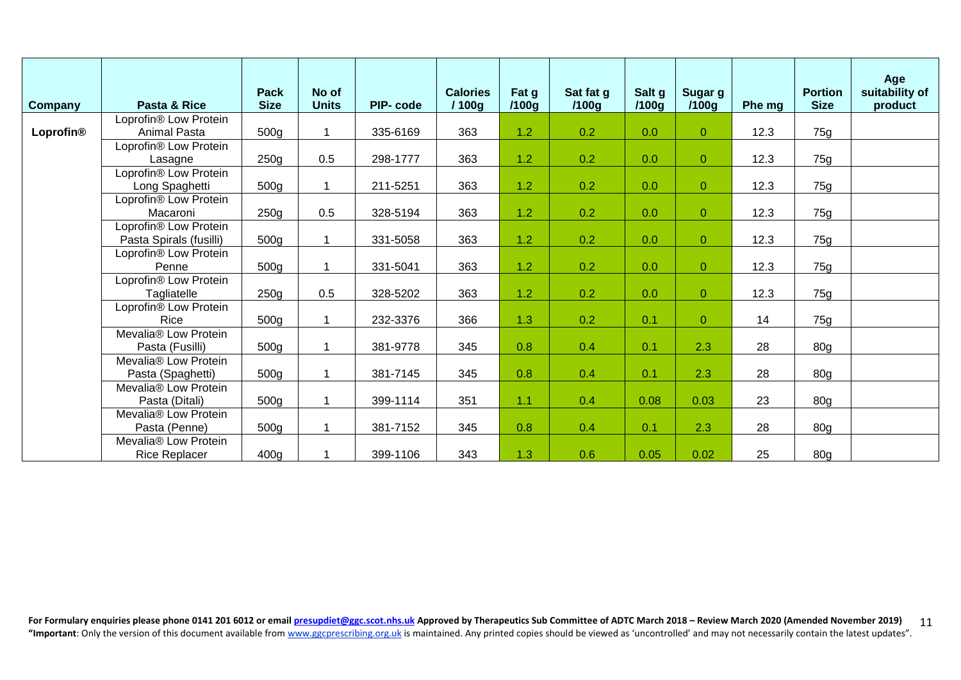| <b>Company</b> | Pasta & Rice                      | <b>Pack</b><br><b>Size</b> | No of<br><b>Units</b> | PIP-code | <b>Calories</b><br>/ 100g | Fat g<br>/100g | Sat fat g<br>/100g | Salt g<br>/100g | Sugar g<br>/100g | Phe mg | <b>Portion</b><br><b>Size</b> | Age<br>suitability of<br>product |
|----------------|-----------------------------------|----------------------------|-----------------------|----------|---------------------------|----------------|--------------------|-----------------|------------------|--------|-------------------------------|----------------------------------|
|                | Loprofin <sup>®</sup> Low Protein |                            |                       |          |                           |                |                    |                 |                  |        |                               |                                  |
| Loprofin®      | Animal Pasta                      | 500g                       | $\blacktriangleleft$  | 335-6169 | 363                       | 1.2            | 0.2                | 0.0             | $\overline{0}$   | 12.3   | 75g                           |                                  |
|                | Loprofin <sup>®</sup> Low Protein |                            |                       |          |                           |                |                    |                 |                  |        |                               |                                  |
|                | Lasagne                           | 250g                       | 0.5                   | 298-1777 | 363                       | 1.2            | 0.2                | 0.0             | $\mathbf{O}$     | 12.3   | 75g                           |                                  |
|                | Loprofin® Low Protein             |                            |                       |          |                           |                |                    |                 |                  |        |                               |                                  |
|                | Long Spaghetti                    | 500g                       | $\mathbf{1}$          | 211-5251 | 363                       | 1.2            | 0.2                | 0.0             | $\mathbf{O}$     | 12.3   | 75g                           |                                  |
|                | Loprofin® Low Protein             |                            |                       |          |                           |                |                    |                 |                  |        |                               |                                  |
|                | Macaroni                          | 250g                       | 0.5                   | 328-5194 | 363                       | 1.2            | 0.2                | 0.0             | $\mathbf{0}$     | 12.3   | 75g                           |                                  |
|                | Loprofin <sup>®</sup> Low Protein |                            |                       |          |                           |                |                    |                 |                  |        |                               |                                  |
|                | Pasta Spirals (fusilli)           | 500g                       | $\overline{1}$        | 331-5058 | 363                       | 1.2            | 0.2                | 0.0             | $\overline{0}$   | 12.3   | 75g                           |                                  |
|                | Loprofin <sup>®</sup> Low Protein |                            |                       |          |                           |                |                    |                 |                  |        |                               |                                  |
|                | Penne                             | 500g                       | $\overline{1}$        | 331-5041 | 363                       | 1.2            | 0.2                | 0.0             | $\overline{0}$   | 12.3   | 75g                           |                                  |
|                | Loprofin <sup>®</sup> Low Protein |                            |                       |          |                           |                |                    |                 |                  |        |                               |                                  |
|                | Tagliatelle                       | 250g                       | 0.5                   | 328-5202 | 363                       | 1.2            | 0.2                | 0.0             | $\overline{0}$   | 12.3   | 75g                           |                                  |
|                | Loprofin <sup>®</sup> Low Protein |                            |                       |          |                           |                |                    |                 |                  |        |                               |                                  |
|                | Rice                              | 500g                       | $\overline{1}$        | 232-3376 | 366                       | 1.3            | 0.2                | 0.1             | $\overline{0}$   | 14     | 75g                           |                                  |
|                | Mevalia® Low Protein              |                            |                       |          |                           |                |                    |                 |                  |        |                               |                                  |
|                | Pasta (Fusilli)                   | 500g                       | $\overline{1}$        | 381-9778 | 345                       | 0.8            | 0.4                | 0.1             | 2.3              | 28     | 80g                           |                                  |
|                | Mevalia <sup>®</sup> Low Protein  |                            |                       |          |                           |                |                    |                 |                  |        |                               |                                  |
|                | Pasta (Spaghetti)                 | 500g                       | $\overline{1}$        | 381-7145 | 345                       | 0.8            | 0.4                | 0.1             | 2.3              | 28     | 80g                           |                                  |
|                | Mevalia® Low Protein              |                            |                       |          |                           |                |                    |                 |                  |        |                               |                                  |
|                | Pasta (Ditali)                    | 500g                       | $\mathbf{1}$          | 399-1114 | 351                       | 1.1            | 0.4                | 0.08            | 0.03             | 23     | 80 <sub>g</sub>               |                                  |
|                | Mevalia® Low Protein              |                            |                       |          |                           |                |                    |                 |                  |        |                               |                                  |
|                | Pasta (Penne)                     | 500g                       | $\overline{1}$        | 381-7152 | 345                       | 0.8            | 0.4                | 0.1             | 2.3              | 28     | 80g                           |                                  |
|                | Mevalia® Low Protein              |                            |                       |          |                           |                |                    |                 |                  |        |                               |                                  |
|                | <b>Rice Replacer</b>              | 400g                       | $\overline{1}$        | 399-1106 | 343                       | 1.3            | 0.6                | 0.05            | 0.02             | 25     | 80g                           |                                  |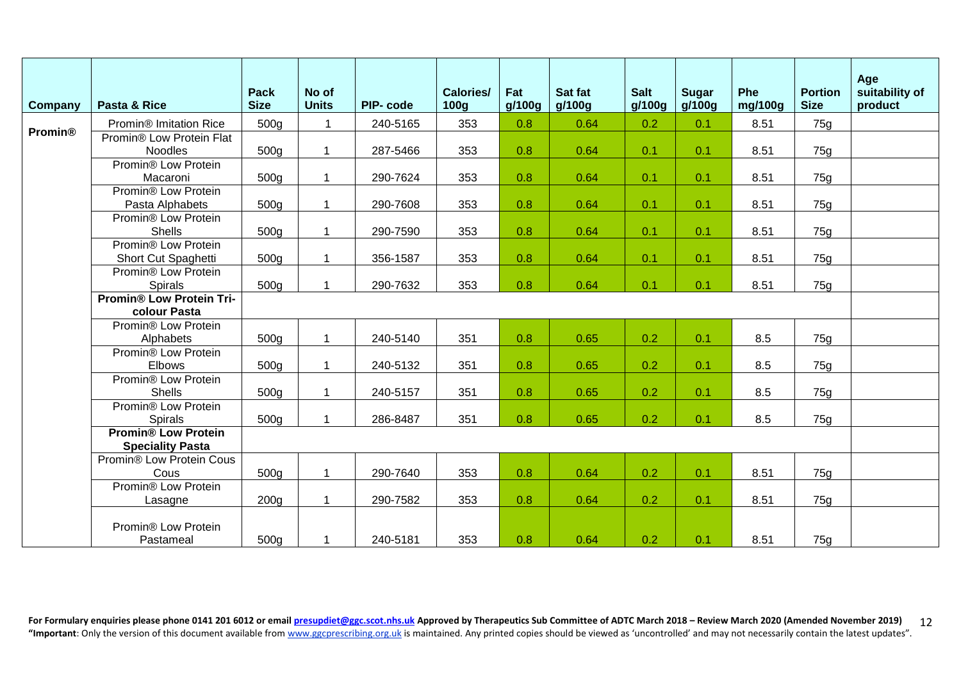| <b>Company</b> | Pasta & Rice                                          | <b>Pack</b><br><b>Size</b> | No of<br><b>Units</b>   | <b>PIP-code</b> | <b>Calories/</b><br>100 <sub>g</sub> | Fat<br>q/100q | Sat fat<br>g/100g | <b>Salt</b><br>q/100q | <b>Sugar</b><br>g/100g | Phe<br>mg/100g | <b>Portion</b><br><b>Size</b> | Age<br>suitability of<br>product |
|----------------|-------------------------------------------------------|----------------------------|-------------------------|-----------------|--------------------------------------|---------------|-------------------|-----------------------|------------------------|----------------|-------------------------------|----------------------------------|
|                | Promin <sup>®</sup> Imitation Rice                    | 500g                       |                         | 240-5165        | 353                                  | 0.8           | 0.64              | 0.2                   | 0.1                    | 8.51           | 75g                           |                                  |
| <b>Promin®</b> | Promin® Low Protein Flat                              |                            |                         |                 |                                      |               |                   |                       |                        |                |                               |                                  |
|                | Noodles                                               | 500g                       |                         | 287-5466        | 353                                  | 0.8           | 0.64              | 0.1                   | 0.1                    | 8.51           | 75g                           |                                  |
|                | Promin® Low Protein                                   |                            |                         |                 |                                      |               |                   |                       |                        |                |                               |                                  |
|                | Macaroni                                              | 500g                       | $\overline{1}$          | 290-7624        | 353                                  | 0.8           | 0.64              | 0.1                   | 0.1                    | 8.51           | 75g                           |                                  |
|                | Promin <sup>®</sup> Low Protein<br>Pasta Alphabets    | 500g                       | -1                      | 290-7608        | 353                                  | 0.8           | 0.64              | 0.1                   | 0.1                    | 8.51           | 75g                           |                                  |
|                | Promin® Low Protein                                   |                            |                         |                 |                                      |               |                   |                       |                        |                |                               |                                  |
|                | <b>Shells</b>                                         | 500g                       | $\overline{\mathbf{1}}$ | 290-7590        | 353                                  | 0.8           | 0.64              | 0.1                   | 0.1                    | 8.51           | 75g                           |                                  |
|                | Promin® Low Protein                                   |                            |                         |                 |                                      |               |                   |                       |                        |                |                               |                                  |
|                | Short Cut Spaghetti                                   | 500g                       | -1                      | 356-1587        | 353                                  | 0.8           | 0.64              | 0.1                   | 0.1                    | 8.51           | 75g                           |                                  |
|                | Promin® Low Protein                                   |                            |                         |                 |                                      |               |                   |                       |                        |                |                               |                                  |
|                | <b>Spirals</b>                                        | 500g                       |                         | 290-7632        | 353                                  | 0.8           | 0.64              | 0.1                   | 0.1                    | 8.51           | 75g                           |                                  |
|                | <b>Promin® Low Protein Tri-</b>                       |                            |                         |                 |                                      |               |                   |                       |                        |                |                               |                                  |
|                | colour Pasta                                          |                            |                         |                 |                                      |               |                   |                       |                        |                |                               |                                  |
|                | Promin® Low Protein                                   |                            |                         |                 |                                      |               |                   |                       |                        |                |                               |                                  |
|                | Alphabets                                             | 500g                       | -1                      | 240-5140        | 351                                  | 0.8           | 0.65              | 0.2                   | 0.1                    | 8.5            | 75g                           |                                  |
|                | Promin <sup>®</sup> Low Protein                       |                            |                         |                 |                                      |               |                   |                       |                        |                |                               |                                  |
|                | Elbows                                                | 500g                       | $\overline{1}$          | 240-5132        | 351                                  | 0.8           | 0.65              | 0.2                   | 0.1                    | 8.5            | 75g                           |                                  |
|                | Promin® Low Protein                                   |                            |                         |                 |                                      |               |                   |                       |                        |                |                               |                                  |
|                | <b>Shells</b>                                         | 500g                       | $\overline{1}$          | 240-5157        | 351                                  | 0.8           | 0.65              | 0.2                   | 0.1                    | 8.5            | 75g                           |                                  |
|                | Promin® Low Protein                                   |                            |                         |                 |                                      |               |                   |                       |                        |                |                               |                                  |
|                | Spirals                                               | 500g                       |                         | 286-8487        | 351                                  | 0.8           | 0.65              | 0.2                   | 0.1                    | 8.5            | 75g                           |                                  |
|                | <b>Promin® Low Protein</b><br><b>Speciality Pasta</b> |                            |                         |                 |                                      |               |                   |                       |                        |                |                               |                                  |
|                | Promin® Low Protein Cous                              |                            |                         |                 |                                      |               |                   |                       |                        |                |                               |                                  |
|                | Cous                                                  | 500g                       | $\overline{1}$          | 290-7640        | 353                                  | 0.8           | 0.64              | 0.2                   | 0.1                    | 8.51           | 75g                           |                                  |
|                | Promin® Low Protein                                   |                            |                         |                 |                                      |               |                   |                       |                        |                |                               |                                  |
|                | Lasagne                                               | 200 <sub>g</sub>           | $\overline{1}$          | 290-7582        | 353                                  | 0.8           | 0.64              | 0.2                   | 0.1                    | 8.51           | 75g                           |                                  |
|                | Promin® Low Protein<br>Pastameal                      | 500g                       | 1                       | 240-5181        | 353                                  | 0.8           | 0.64              | 0.2                   | 0.1                    | 8.51           | 75g                           |                                  |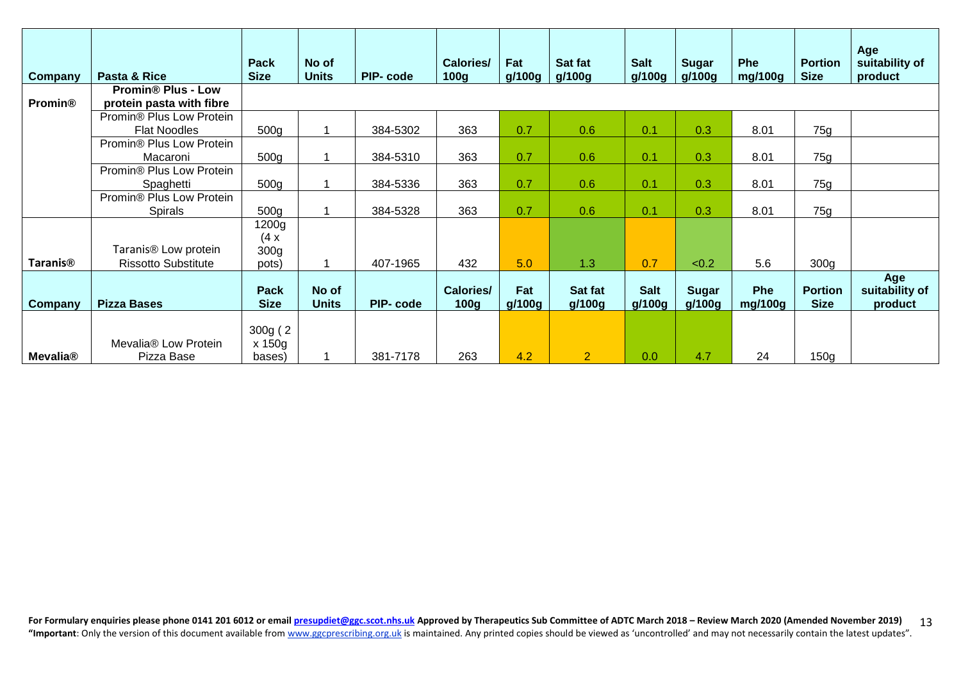| <b>Company</b>             | Pasta & Rice                                                   | <b>Pack</b><br><b>Size</b>                 | No of<br><b>Units</b> | PIP-code | <b>Calories/</b><br>100g             | Fat<br>g/100g | Sat fat<br>g/100g | <b>Salt</b><br>g/100g | <b>Sugar</b><br>g/100g | <b>Phe</b><br>mg/100g | <b>Portion</b><br><b>Size</b> | Age<br>suitability of<br>product |
|----------------------------|----------------------------------------------------------------|--------------------------------------------|-----------------------|----------|--------------------------------------|---------------|-------------------|-----------------------|------------------------|-----------------------|-------------------------------|----------------------------------|
| <b>Promin®</b>             | <b>Promin® Plus - Low</b><br>protein pasta with fibre          |                                            |                       |          |                                      |               |                   |                       |                        |                       |                               |                                  |
|                            | Promin® Plus Low Protein<br><b>Flat Noodles</b>                | 500g                                       |                       | 384-5302 | 363                                  | 0.7           | 0.6               | 0.1                   | 0.3                    | 8.01                  | 75g                           |                                  |
|                            | Promin® Plus Low Protein<br>Macaroni                           | 500g                                       |                       | 384-5310 | 363                                  | 0.7           | 0.6               | 0.1                   | 0.3                    | 8.01                  | 75g                           |                                  |
|                            | Promin <sup>®</sup> Plus Low Protein<br>Spaghetti              | 500g                                       |                       | 384-5336 | 363                                  | 0.7           | 0.6               | 0.1                   | 0.3                    | 8.01                  | 75g                           |                                  |
|                            | Promin <sup>®</sup> Plus Low Protein<br><b>Spirals</b>         | 500 <sub>g</sub>                           |                       | 384-5328 | 363                                  | 0.7           | 0.6               | 0.1                   | 0.3                    | 8.01                  | 75g                           |                                  |
| <b>Taranis<sup>®</sup></b> | Taranis <sup>®</sup> Low protein<br><b>Rissotto Substitute</b> | 1200g<br>(4x)<br>300 <sub>g</sub><br>pots) |                       | 407-1965 | 432                                  | 5.0           | 1.3               | 0.7                   | < 0.2                  | 5.6                   | 300 <sub>g</sub>              |                                  |
| Company                    | <b>Pizza Bases</b>                                             | Pack<br><b>Size</b>                        | No of<br><b>Units</b> | PIP-code | <b>Calories/</b><br>100 <sub>g</sub> | Fat<br>g/100g | Sat fat<br>g/100g | <b>Salt</b><br>g/100g | <b>Sugar</b><br>g/100g | <b>Phe</b><br>mg/100g | <b>Portion</b><br><b>Size</b> | Age<br>suitability of<br>product |
| Mevalia <sup>®</sup>       | Mevalia® Low Protein<br>Pizza Base                             | 300g(2)<br>x 150g<br>bases)                |                       | 381-7178 | 263                                  | 4.2           | $\overline{2}$    | 0.0                   | 4.7                    | 24                    | 150g                          |                                  |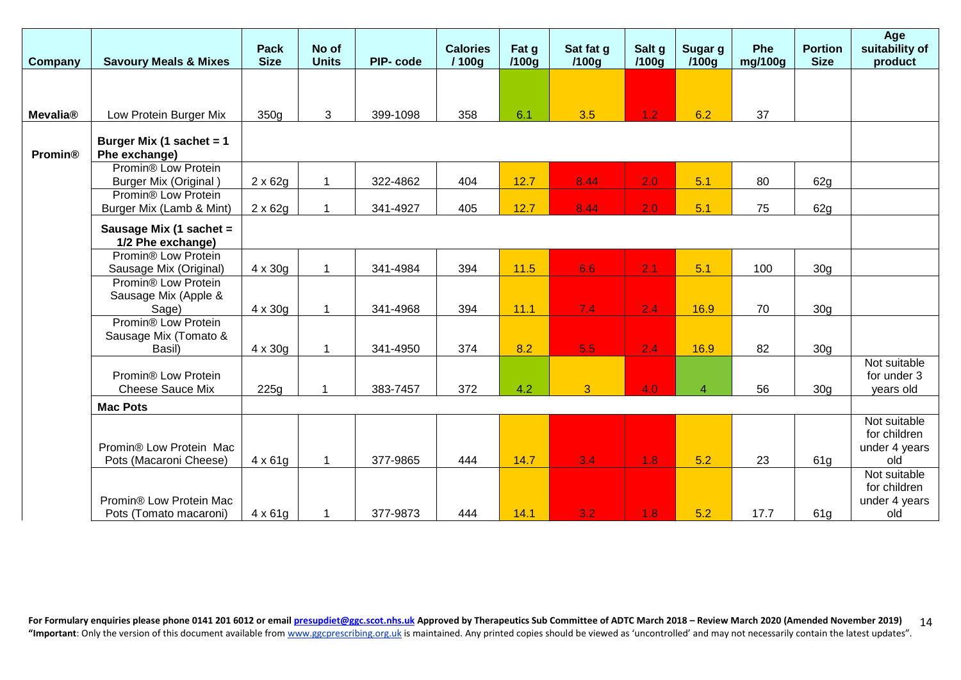| <b>Company</b>  | <b>Savoury Meals &amp; Mixes</b>                                 | <b>Pack</b><br><b>Size</b> | No of<br><b>Units</b> | PIP-code | <b>Calories</b><br>/100g | Fat g<br>/100g | Sat fat g<br>/100g | Salt g<br>/100g | Sugar g<br>/100 <sub>q</sub> | Phe<br>mg/100g | <b>Portion</b><br><b>Size</b> | Age<br>suitability of<br>product                     |
|-----------------|------------------------------------------------------------------|----------------------------|-----------------------|----------|--------------------------|----------------|--------------------|-----------------|------------------------------|----------------|-------------------------------|------------------------------------------------------|
|                 |                                                                  |                            |                       |          |                          |                |                    |                 |                              |                |                               |                                                      |
|                 |                                                                  |                            |                       |          |                          |                |                    |                 |                              |                |                               |                                                      |
| <b>Mevalia®</b> | Low Protein Burger Mix                                           | 350g                       | 3                     | 399-1098 | 358                      | 6.1            | 3.5                | 1.2             | 6.2                          | 37             |                               |                                                      |
| <b>Promin®</b>  | Burger Mix (1 sachet = 1<br>Phe exchange)                        |                            |                       |          |                          |                |                    |                 |                              |                |                               |                                                      |
|                 | Promin <sup>®</sup> Low Protein<br><b>Burger Mix (Original)</b>  | $2 \times 62g$             | $\mathbf 1$           | 322-4862 | 404                      | 12.7           | 8.44               | 2.0             | 5.1                          | 80             | 62g                           |                                                      |
|                 | Promin <sup>®</sup> Low Protein<br>Burger Mix (Lamb & Mint)      | $2 \times 62g$             | $\overline{1}$        | 341-4927 | 405                      | 12.7           | 8.44               | 2.0             | 5.1                          | 75             | 62g                           |                                                      |
|                 | Sausage Mix (1 sachet =<br>1/2 Phe exchange)                     |                            |                       |          |                          |                |                    |                 |                              |                |                               |                                                      |
|                 | Promin® Low Protein<br>Sausage Mix (Original)                    | $4 \times 30g$             | $\overline{1}$        | 341-4984 | 394                      | 11.5           | 6.6                | 2.1             | 5.1                          | 100            | 30 <sub>g</sub>               |                                                      |
|                 | Promin <sup>®</sup> Low Protein<br>Sausage Mix (Apple &<br>Sage) | $4 \times 30g$             | $\overline{1}$        | 341-4968 | 394                      | 11.1           | 7.4                | 2.4             | 16.9                         | 70             | 30 <sub>g</sub>               |                                                      |
|                 | Promin® Low Protein<br>Sausage Mix (Tomato &<br>Basil)           | $4 \times 30g$             | $\overline{1}$        | 341-4950 | 374                      | 8.2            | 5.5 <sub>1</sub>   | 2.4             | 16.9                         | 82             | 30 <sub>g</sub>               |                                                      |
|                 | Promin® Low Protein<br>Cheese Sauce Mix                          | 225g                       | $\mathbf{1}$          | 383-7457 | 372                      | 4.2            | $\overline{3}$     | 4.0             | $\overline{4}$               | 56             | 30 <sub>q</sub>               | Not suitable<br>for under 3<br>years old             |
|                 | <b>Mac Pots</b>                                                  |                            |                       |          |                          |                |                    |                 |                              |                |                               |                                                      |
|                 | Promin® Low Protein Mac<br>Pots (Macaroni Cheese)                | $4 \times 61g$             | $\mathbf{1}$          | 377-9865 | 444                      | 14.7           | 3.4                | 1.8             | 5.2                          | 23             | 61g                           | Not suitable<br>for children<br>under 4 years<br>old |
|                 | Promin® Low Protein Mac<br>Pots (Tomato macaroni)                | $4 \times 61g$             |                       | 377-9873 | 444                      | 14.1           | 3.2                | 1.8             | 5.2                          | 17.7           | 61 <sub>g</sub>               | Not suitable<br>for children<br>under 4 years<br>old |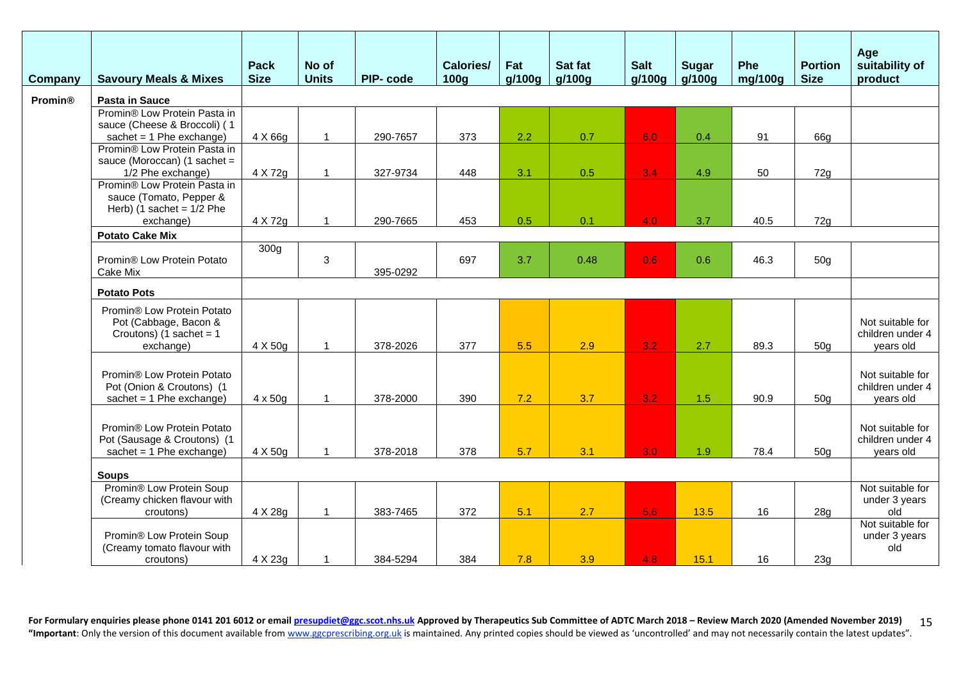| Company        | <b>Savoury Meals &amp; Mixes</b>                                                              | <b>Pack</b><br><b>Size</b> | No of<br><b>Units</b> | PIP-code | <b>Calories/</b><br><b>100g</b> | Fat<br>g/100g | Sat fat<br>g/100g | <b>Salt</b><br>q/100q | <b>Sugar</b><br>g/100g | Phe<br>mg/100g | <b>Portion</b><br><b>Size</b> | Age<br>suitability of<br>product                  |
|----------------|-----------------------------------------------------------------------------------------------|----------------------------|-----------------------|----------|---------------------------------|---------------|-------------------|-----------------------|------------------------|----------------|-------------------------------|---------------------------------------------------|
| <b>Promin®</b> | <b>Pasta in Sauce</b>                                                                         |                            |                       |          |                                 |               |                   |                       |                        |                |                               |                                                   |
|                | Promin® Low Protein Pasta in<br>sauce (Cheese & Broccoli) (1<br>sachet = $1$ Phe exchange)    | 4 X 66g                    |                       | 290-7657 | 373                             | 2.2           | 0.7               | 6.0                   | 0.4                    | 91             | 66g                           |                                                   |
|                | Promin® Low Protein Pasta in<br>sauce (Moroccan) (1 sachet =<br>1/2 Phe exchange)             | 4 X 72g                    | $\overline{1}$        | 327-9734 | 448                             | 3.1           | 0.5               | 3.4                   | 4.9                    | 50             | 72g                           |                                                   |
|                | Promin® Low Protein Pasta in<br>sauce (Tomato, Pepper &<br>Herb) (1 sachet = $1/2$ Phe        |                            |                       |          |                                 |               |                   |                       |                        |                |                               |                                                   |
|                | exchange)                                                                                     | 4 X 72g                    | 1                     | 290-7665 | 453                             | 0.5           | 0.1               | 4.0                   | 3.7                    | 40.5           | 72g                           |                                                   |
|                | <b>Potato Cake Mix</b>                                                                        | 300 <sub>g</sub>           |                       |          |                                 |               |                   |                       |                        |                |                               |                                                   |
|                | Promin® Low Protein Potato<br>Cake Mix                                                        |                            | 3                     | 395-0292 | 697                             | 3.7           | 0.48              | 0.6                   | 0.6                    | 46.3           | 50 <sub>g</sub>               |                                                   |
|                | <b>Potato Pots</b>                                                                            |                            |                       |          |                                 |               |                   |                       |                        |                |                               |                                                   |
|                | Promin® Low Protein Potato<br>Pot (Cabbage, Bacon &<br>Croutons) (1 sachet = $1$<br>exchange) | 4 X 50g                    | 1                     | 378-2026 | 377                             | 5.5           | 2.9               | 3.2                   | 2.7                    | 89.3           | 50 <sub>q</sub>               | Not suitable for<br>children under 4<br>years old |
|                | Promin® Low Protein Potato<br>Pot (Onion & Croutons) (1<br>sachet = $1$ Phe exchange)         | $4 \times 50g$             | 1                     | 378-2000 | 390                             | 7.2           | 3.7               | 3.2                   | 1.5                    | 90.9           | 50 <sub>q</sub>               | Not suitable for<br>children under 4<br>years old |
|                | Promin® Low Protein Potato<br>Pot (Sausage & Croutons) (1<br>sachet = $1$ Phe exchange)       | 4 X 50g                    |                       | 378-2018 | 378                             | 5.7           | 3.1               | 3.0 <sub>1</sub>      | 1.9                    | 78.4           | 50 <sub>g</sub>               | Not suitable for<br>children under 4<br>years old |
|                | <b>Soups</b>                                                                                  |                            |                       |          |                                 |               |                   |                       |                        |                |                               |                                                   |
|                | Promin® Low Protein Soup<br>(Creamy chicken flavour with<br>croutons)                         | 4 X 28g                    | -1                    | 383-7465 | 372                             | 5.1           | 2.7               | 5.6                   | 13.5                   | 16             | 28g                           | Not suitable for<br>under 3 years<br>old          |
|                | Promin® Low Protein Soup<br>(Creamy tomato flavour with<br>croutons)                          | 4 X 23g                    | 1                     | 384-5294 | 384                             | 7.8           | 3.9               | 4.8                   | 15.1                   | 16             | 23g                           | Not suitable for<br>under 3 years<br>old          |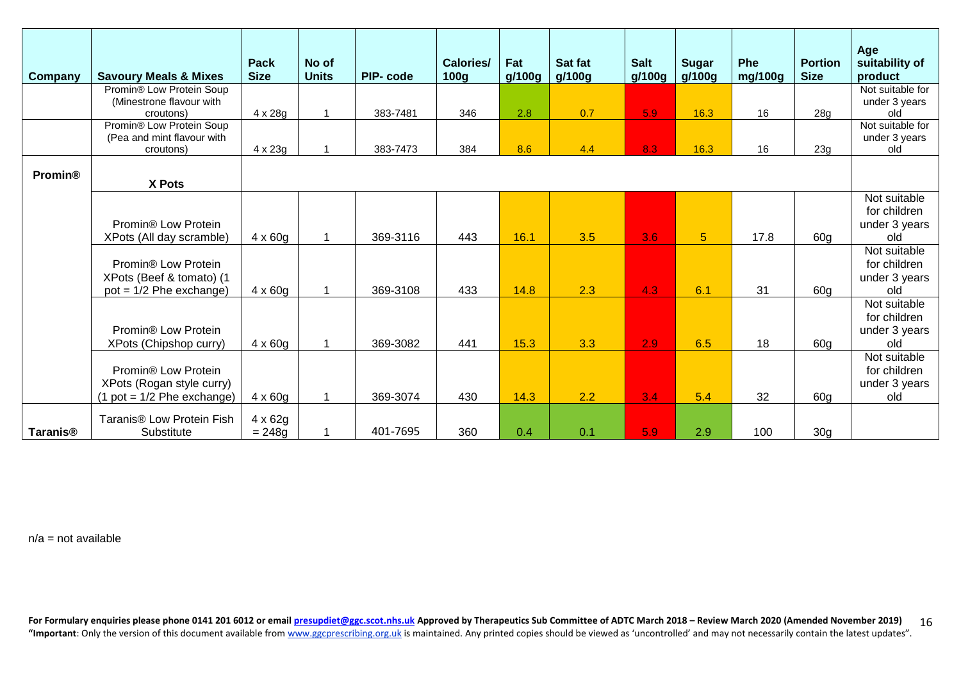| Company         | <b>Savoury Meals &amp; Mixes</b>                                                         | Pack<br><b>Size</b>        | No of<br><b>Units</b> | PIP-code | <b>Calories/</b><br>100g | Fat<br>g/100g | Sat fat<br>g/100g | <b>Salt</b><br>g/100g | <b>Sugar</b><br>g/100g | Phe<br>mg/100g | <b>Portion</b><br><b>Size</b> | Age<br>suitability of<br>product                     |
|-----------------|------------------------------------------------------------------------------------------|----------------------------|-----------------------|----------|--------------------------|---------------|-------------------|-----------------------|------------------------|----------------|-------------------------------|------------------------------------------------------|
|                 | Promin® Low Protein Soup<br>(Minestrone flavour with                                     |                            |                       |          |                          |               |                   |                       |                        |                |                               | Not suitable for<br>under 3 years                    |
|                 | croutons)                                                                                | 4 x 28g                    |                       | 383-7481 | 346                      | 2.8           | 0.7               | 5.9                   | 16.3                   | 16             | 28g                           | old                                                  |
|                 | Promin® Low Protein Soup                                                                 |                            |                       |          |                          |               |                   |                       |                        |                |                               | Not suitable for                                     |
|                 | (Pea and mint flavour with                                                               |                            |                       |          |                          |               |                   |                       |                        |                |                               | under 3 years                                        |
|                 | croutons)                                                                                | 4 x 23g                    |                       | 383-7473 | 384                      | 8.6           | 4.4               | 8.3                   | 16.3                   | 16             | 23g                           | old                                                  |
| <b>Promin®</b>  | X Pots                                                                                   |                            |                       |          |                          |               |                   |                       |                        |                |                               |                                                      |
|                 | Promin <sup>®</sup> Low Protein<br>XPots (All day scramble)                              | $4 \times 60g$             |                       | 369-3116 | 443                      | 16.1          | 3.5               | 3.6                   | 5                      | 17.8           | 60g                           | Not suitable<br>for children<br>under 3 years<br>old |
|                 | Promin <sup>®</sup> Low Protein<br>XPots (Beef & tomato) (1<br>$pot = 1/2$ Phe exchange) | $4 \times 60g$             |                       | 369-3108 | 433                      | 14.8          | 2.3               | 4.3                   | 6.1                    | 31             | 60 <sub>q</sub>               | Not suitable<br>for children<br>under 3 years<br>old |
|                 | Promin <sup>®</sup> Low Protein<br>XPots (Chipshop curry)                                | $4 \times 60g$             |                       | 369-3082 | 441                      | 15.3          | 3.3               | 2.9                   | 6.5                    | 18             | 60 <sub>q</sub>               | Not suitable<br>for children<br>under 3 years<br>old |
|                 | Promin® Low Protein<br>XPots (Rogan style curry)<br>$(1$ pot = $1/2$ Phe exchange)       | $4 \times 60g$             |                       | 369-3074 | 430                      | 14.3          | 2.2               | 3.4                   | 5.4                    | 32             | 60g                           | Not suitable<br>for children<br>under 3 years<br>old |
| <b>Taranis®</b> | Taranis <sup>®</sup> Low Protein Fish<br>Substitute                                      | $4 \times 62g$<br>$= 248g$ |                       | 401-7695 | 360                      | 0.4           | 0.1               | 5.9                   | 2.9                    | 100            | 30 <sub>g</sub>               |                                                      |

 $n/a = not available$